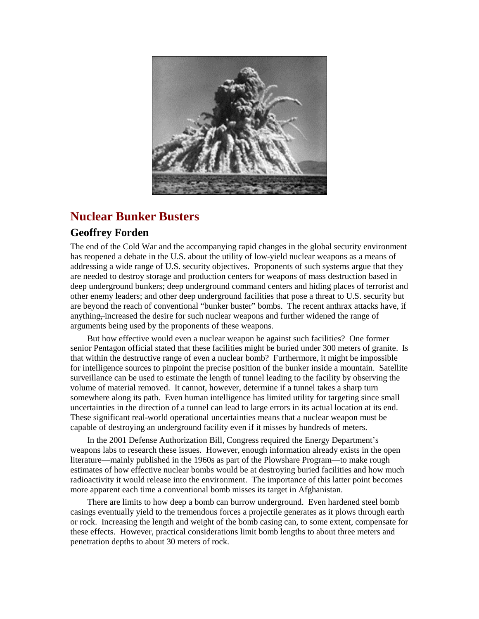

# **Nuclear Bunker Busters**

## **Geoffrey Forden**

The end of the Cold War and the accompanying rapid changes in the global security environment has reopened a debate in the U.S. about the utility of low-yield nuclear weapons as a means of addressing a wide range of U.S. security objectives. Proponents of such systems argue that they are needed to destroy storage and production centers for weapons of mass destruction based in deep underground bunkers; deep underground command centers and hiding places of terrorist and other enemy leaders; and other deep underground facilities that pose a threat to U.S. security but are beyond the reach of conventional "bunker buster" bombs. The recent anthrax attacks have, if anything, increased the desire for such nuclear weapons and further widened the range of arguments being used by the proponents of these weapons.

But how effective would even a nuclear weapon be against such facilities? One former senior Pentagon official stated that these facilities might be buried under 300 meters of granite. Is that within the destructive range of even a nuclear bomb? Furthermore, it might be impossible for intelligence sources to pinpoint the precise position of the bunker inside a mountain. Satellite surveillance can be used to estimate the length of tunnel leading to the facility by observing the volume of material removed. It cannot, however, determine if a tunnel takes a sharp turn somewhere along its path. Even human intelligence has limited utility for targeting since small uncertainties in the direction of a tunnel can lead to large errors in its actual location at its end. These significant real-world operational uncertainties means that a nuclear weapon must be capable of destroying an underground facility even if it misses by hundreds of meters.

In the 2001 Defense Authorization Bill, Congress required the Energy Department's weapons labs to research these issues. However, enough information already exists in the open literature—mainly published in the 1960s as part of the Plowshare Program—to make rough estimates of how effective nuclear bombs would be at destroying buried facilities and how much radioactivity it would release into the environment. The importance of this latter point becomes more apparent each time a conventional bomb misses its target in Afghanistan.

There are limits to how deep a bomb can burrow underground. Even hardened steel bomb casings eventually yield to the tremendous forces a projectile generates as it plows through earth or rock. Increasing the length and weight of the bomb casing can, to some extent, compensate for these effects. However, practical considerations limit bomb lengths to about three meters and penetration depths to about 30 meters of rock.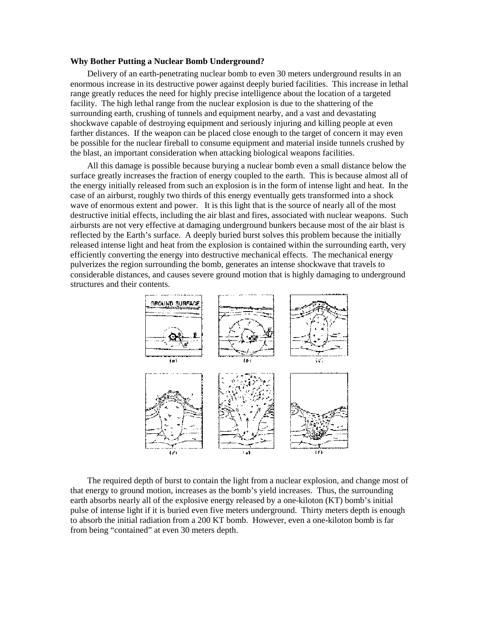#### **Why Bother Putting a Nuclear Bomb Underground?**

Delivery of an earth-penetrating nuclear bomb to even 30 meters underground results in an enormous increase in its destructive power against deeply buried facilities. This increase in lethal range greatly reduces the need for highly precise intelligence about the location of a targeted facility. The high lethal range from the nuclear explosion is due to the shattering of the surrounding earth, crushing of tunnels and equipment nearby, and a vast and devastating shockwave capable of destroying equipment and seriously injuring and killing people at even farther distances. If the weapon can be placed close enough to the target of concern it may even be possible for the nuclear fireball to consume equipment and material inside tunnels crushed by the blast, an important consideration when attacking biological weapons facilities.

All this damage is possible because burying a nuclear bomb even a small distance below the surface greatly increases the fraction of energy coupled to the earth. This is because almost all of the energy initially released from such an explosion is in the form of intense light and heat. In the case of an airburst, roughly two thirds of this energy eventually gets transformed into a shock wave of enormous extent and power. It is this light that is the source of nearly all of the most destructive initial effects, including the air blast and fires, associated with nuclear weapons. Such airbursts are not very effective at damaging underground bunkers because most of the air blast is reflected by the Earth's surface. A deeply buried burst solves this problem because the initially released intense light and heat from the explosion is contained within the surrounding earth, very efficiently converting the energy into destructive mechanical effects. The mechanical energy pulverizes the region surrounding the bomb, generates an intense shockwave that travels to considerable distances, and causes severe ground motion that is highly damaging to underground structures and their contents.



The required depth of burst to contain the light from a nuclear explosion, and change most of that energy to ground motion, increases as the bomb's yield increases. Thus, the surrounding earth absorbs nearly all of the explosive energy released by a one-kiloton (KT) bomb's initial pulse of intense light if it is buried even five meters underground. Thirty meters depth is enough to absorb the initial radiation from a 200 KT bomb. However, even a one-kiloton bomb is far from being "contained" at even 30 meters depth.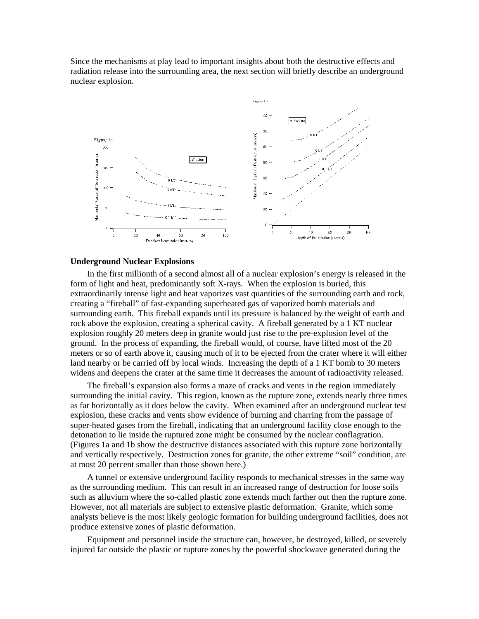Since the mechanisms at play lead to important insights about both the destructive effects and radiation release into the surrounding area, the next section will briefly describe an underground nuclear explosion.



#### **Underground Nuclear Explosions**

In the first millionth of a second almost all of a nuclear explosion's energy is released in the form of light and heat, predominantly soft X-rays. When the explosion is buried, this extraordinarily intense light and heat vaporizes vast quantities of the surrounding earth and rock, creating a "fireball" of fast-expanding superheated gas of vaporized bomb materials and surrounding earth. This fireball expands until its pressure is balanced by the weight of earth and rock above the explosion, creating a spherical cavity. A fireball generated by a 1 KT nuclear explosion roughly 20 meters deep in granite would just rise to the pre-explosion level of the ground. In the process of expanding, the fireball would, of course, have lifted most of the 20 meters or so of earth above it, causing much of it to be ejected from the crater where it will either land nearby or be carried off by local winds. Increasing the depth of a 1 KT bomb to 30 meters widens and deepens the crater at the same time it decreases the amount of radioactivity released.

The fireball's expansion also forms a maze of cracks and vents in the region immediately surrounding the initial cavity. This region, known as the rupture zone, extends nearly three times as far horizontally as it does below the cavity. When examined after an underground nuclear test explosion, these cracks and vents show evidence of burning and charring from the passage of super-heated gases from the fireball, indicating that an underground facility close enough to the detonation to lie inside the ruptured zone might be consumed by the nuclear conflagration. (Figures 1a and 1b show the destructive distances associated with this rupture zone horizontally and vertically respectively. Destruction zones for granite, the other extreme "soil" condition, are at most 20 percent smaller than those shown here.)

A tunnel or extensive underground facility responds to mechanical stresses in the same way as the surrounding medium. This can result in an increased range of destruction for loose soils such as alluvium where the so-called plastic zone extends much farther out then the rupture zone. However, not all materials are subject to extensive plastic deformation. Granite, which some analysts believe is the most likely geologic formation for building underground facilities, does not produce extensive zones of plastic deformation.

Equipment and personnel inside the structure can, however, be destroyed, killed, or severely injured far outside the plastic or rupture zones by the powerful shockwave generated during the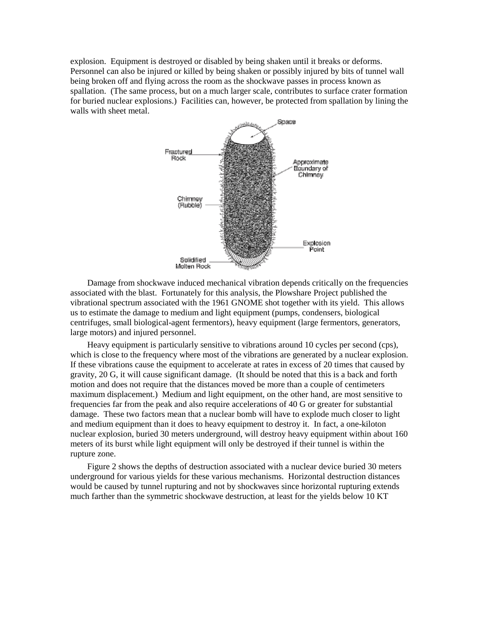explosion. Equipment is destroyed or disabled by being shaken until it breaks or deforms. Personnel can also be injured or killed by being shaken or possibly injured by bits of tunnel wall being broken off and flying across the room as the shockwave passes in process known as spallation. (The same process, but on a much larger scale, contributes to surface crater formation for buried nuclear explosions.) Facilities can, however, be protected from spallation by lining the walls with sheet metal.



Damage from shockwave induced mechanical vibration depends critically on the frequencies associated with the blast. Fortunately for this analysis, the Plowshare Project published the vibrational spectrum associated with the 1961 GNOME shot together with its yield. This allows us to estimate the damage to medium and light equipment (pumps, condensers, biological centrifuges, small biological-agent fermentors), heavy equipment (large fermentors, generators, large motors) and injured personnel.

Heavy equipment is particularly sensitive to vibrations around 10 cycles per second (cps), which is close to the frequency where most of the vibrations are generated by a nuclear explosion. If these vibrations cause the equipment to accelerate at rates in excess of 20 times that caused by gravity, 20 G, it will cause significant damage. (It should be noted that this is a back and forth motion and does not require that the distances moved be more than a couple of centimeters maximum displacement.) Medium and light equipment, on the other hand, are most sensitive to frequencies far from the peak and also require accelerations of 40 G or greater for substantial damage. These two factors mean that a nuclear bomb will have to explode much closer to light and medium equipment than it does to heavy equipment to destroy it. In fact, a one-kiloton nuclear explosion, buried 30 meters underground, will destroy heavy equipment within about 160 meters of its burst while light equipment will only be destroyed if their tunnel is within the rupture zone.

Figure 2 shows the depths of destruction associated with a nuclear device buried 30 meters underground for various yields for these various mechanisms. Horizontal destruction distances would be caused by tunnel rupturing and not by shockwaves since horizontal rupturing extends much farther than the symmetric shockwave destruction, at least for the yields below 10 KT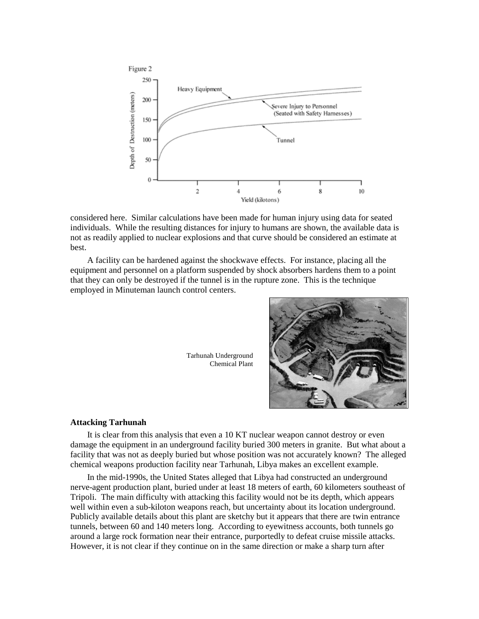

considered here. Similar calculations have been made for human injury using data for seated individuals. While the resulting distances for injury to humans are shown, the available data is not as readily applied to nuclear explosions and that curve should be considered an estimate at best.

A facility can be hardened against the shockwave effects. For instance, placing all the equipment and personnel on a platform suspended by shock absorbers hardens them to a point that they can only be destroyed if the tunnel is in the rupture zone. This is the technique employed in Minuteman launch control centers.

> Tarhunah Underground Chemical Plant



### **Attacking Tarhunah**

It is clear from this analysis that even a 10 KT nuclear weapon cannot destroy or even damage the equipment in an underground facility buried 300 meters in granite. But what about a facility that was not as deeply buried but whose position was not accurately known? The alleged chemical weapons production facility near Tarhunah, Libya makes an excellent example.

In the mid-1990s, the United States alleged that Libya had constructed an underground nerve-agent production plant, buried under at least 18 meters of earth, 60 kilometers southeast of Tripoli. The main difficulty with attacking this facility would not be its depth, which appears well within even a sub-kiloton weapons reach, but uncertainty about its location underground. Publicly available details about this plant are sketchy but it appears that there are twin entrance tunnels, between 60 and 140 meters long. According to eyewitness accounts, both tunnels go around a large rock formation near their entrance, purportedly to defeat cruise missile attacks. However, it is not clear if they continue on in the same direction or make a sharp turn after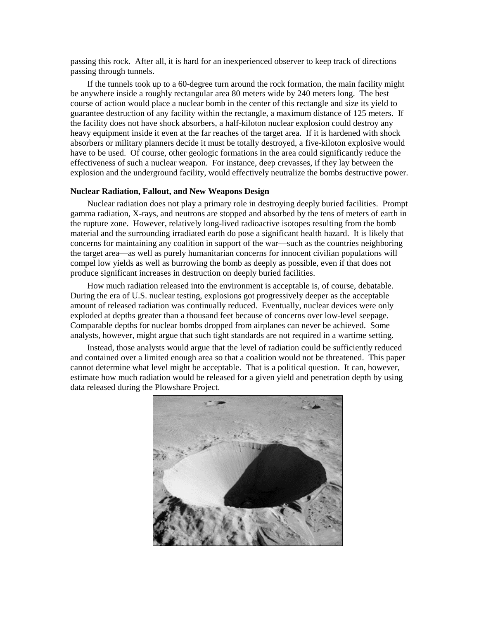passing this rock. After all, it is hard for an inexperienced observer to keep track of directions passing through tunnels.

If the tunnels took up to a 60-degree turn around the rock formation, the main facility might be anywhere inside a roughly rectangular area 80 meters wide by 240 meters long. The best course of action would place a nuclear bomb in the center of this rectangle and size its yield to guarantee destruction of any facility within the rectangle, a maximum distance of 125 meters. If the facility does not have shock absorbers, a half-kiloton nuclear explosion could destroy any heavy equipment inside it even at the far reaches of the target area. If it is hardened with shock absorbers or military planners decide it must be totally destroyed, a five-kiloton explosive would have to be used. Of course, other geologic formations in the area could significantly reduce the effectiveness of such a nuclear weapon. For instance, deep crevasses, if they lay between the explosion and the underground facility, would effectively neutralize the bombs destructive power.

#### **Nuclear Radiation, Fallout, and New Weapons Design**

Nuclear radiation does not play a primary role in destroying deeply buried facilities. Prompt gamma radiation, X-rays, and neutrons are stopped and absorbed by the tens of meters of earth in the rupture zone. However, relatively long-lived radioactive isotopes resulting from the bomb material and the surrounding irradiated earth do pose a significant health hazard. It is likely that concerns for maintaining any coalition in support of the war—such as the countries neighboring the target area—as well as purely humanitarian concerns for innocent civilian populations will compel low yields as well as burrowing the bomb as deeply as possible, even if that does not produce significant increases in destruction on deeply buried facilities.

How much radiation released into the environment is acceptable is, of course, debatable. During the era of U.S. nuclear testing, explosions got progressively deeper as the acceptable amount of released radiation was continually reduced. Eventually, nuclear devices were only exploded at depths greater than a thousand feet because of concerns over low-level seepage. Comparable depths for nuclear bombs dropped from airplanes can never be achieved. Some analysts, however, might argue that such tight standards are not required in a wartime setting.

Instead, those analysts would argue that the level of radiation could be sufficiently reduced and contained over a limited enough area so that a coalition would not be threatened. This paper cannot determine what level might be acceptable. That is a political question. It can, however, estimate how much radiation would be released for a given yield and penetration depth by using data released during the Plowshare Project.

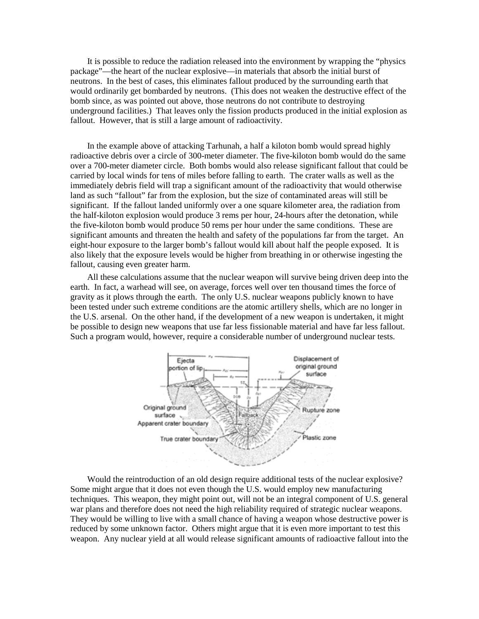It is possible to reduce the radiation released into the environment by wrapping the "physics package"—the heart of the nuclear explosive—in materials that absorb the initial burst of neutrons. In the best of cases, this eliminates fallout produced by the surrounding earth that would ordinarily get bombarded by neutrons. (This does not weaken the destructive effect of the bomb since, as was pointed out above, those neutrons do not contribute to destroying underground facilities.) That leaves only the fission products produced in the initial explosion as fallout. However, that is still a large amount of radioactivity.

In the example above of attacking Tarhunah, a half a kiloton bomb would spread highly radioactive debris over a circle of 300-meter diameter. The five-kiloton bomb would do the same over a 700-meter diameter circle. Both bombs would also release significant fallout that could be carried by local winds for tens of miles before falling to earth. The crater walls as well as the immediately debris field will trap a significant amount of the radioactivity that would otherwise land as such "fallout" far from the explosion, but the size of contaminated areas will still be significant. If the fallout landed uniformly over a one square kilometer area, the radiation from the half-kiloton explosion would produce 3 rems per hour, 24-hours after the detonation, while the five-kiloton bomb would produce 50 rems per hour under the same conditions. These are significant amounts and threaten the health and safety of the populations far from the target. An eight-hour exposure to the larger bomb's fallout would kill about half the people exposed. It is also likely that the exposure levels would be higher from breathing in or otherwise ingesting the fallout, causing even greater harm.

All these calculations assume that the nuclear weapon will survive being driven deep into the earth. In fact, a warhead will see, on average, forces well over ten thousand times the force of gravity as it plows through the earth. The only U.S. nuclear weapons publicly known to have been tested under such extreme conditions are the atomic artillery shells, which are no longer in the U.S. arsenal. On the other hand, if the development of a new weapon is undertaken, it might be possible to design new weapons that use far less fissionable material and have far less fallout. Such a program would, however, require a considerable number of underground nuclear tests.



Would the reintroduction of an old design require additional tests of the nuclear explosive? Some might argue that it does not even though the U.S. would employ new manufacturing techniques. This weapon, they might point out, will not be an integral component of U.S. general war plans and therefore does not need the high reliability required of strategic nuclear weapons. They would be willing to live with a small chance of having a weapon whose destructive power is reduced by some unknown factor. Others might argue that it is even more important to test this weapon. Any nuclear yield at all would release significant amounts of radioactive fallout into the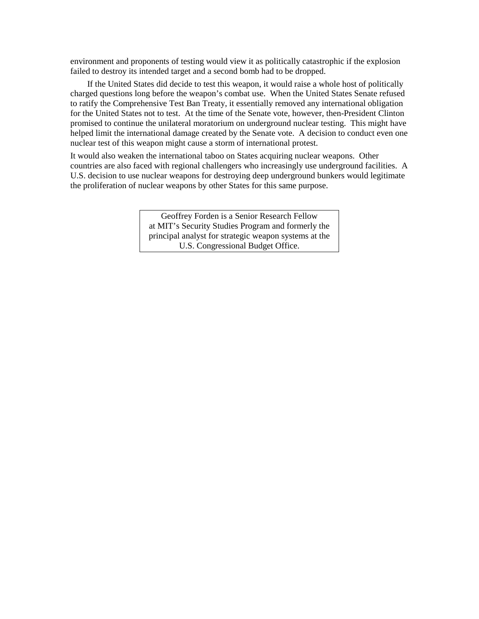environment and proponents of testing would view it as politically catastrophic if the explosion failed to destroy its intended target and a second bomb had to be dropped.

If the United States did decide to test this weapon, it would raise a whole host of politically charged questions long before the weapon's combat use. When the United States Senate refused to ratify the Comprehensive Test Ban Treaty, it essentially removed any international obligation for the United States not to test. At the time of the Senate vote, however, then-President Clinton promised to continue the unilateral moratorium on underground nuclear testing. This might have helped limit the international damage created by the Senate vote. A decision to conduct even one nuclear test of this weapon might cause a storm of international protest.

It would also weaken the international taboo on States acquiring nuclear weapons. Other countries are also faced with regional challengers who increasingly use underground facilities. A U.S. decision to use nuclear weapons for destroying deep underground bunkers would legitimate the proliferation of nuclear weapons by other States for this same purpose.

> Geoffrey Forden is a Senior Research Fellow at MIT's Security Studies Program and formerly the principal analyst for strategic weapon systems at the U.S. Congressional Budget Office.